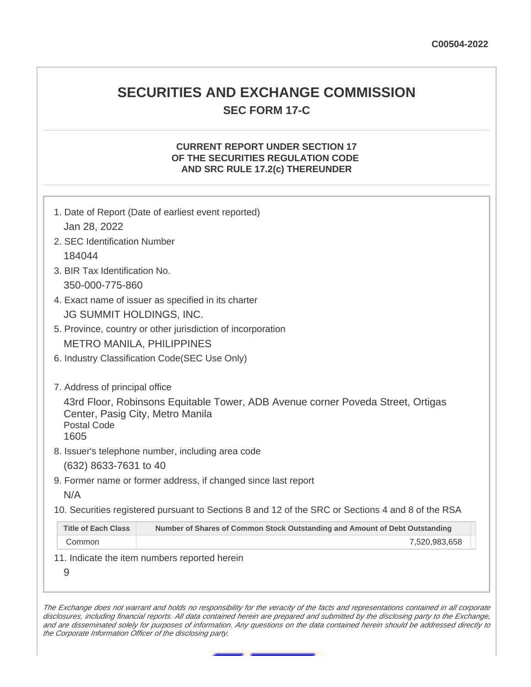# **SECURITIES AND EXCHANGE COMMISSION SEC FORM 17-C**

## **CURRENT REPORT UNDER SECTION 17 OF THE SECURITIES REGULATION CODE AND SRC RULE 17.2(c) THEREUNDER**

|                                                     | 1. Date of Report (Date of earliest event reported)                                                                 |  |  |  |  |
|-----------------------------------------------------|---------------------------------------------------------------------------------------------------------------------|--|--|--|--|
| Jan 28, 2022                                        |                                                                                                                     |  |  |  |  |
| 2. SEC Identification Number                        |                                                                                                                     |  |  |  |  |
| 184044                                              |                                                                                                                     |  |  |  |  |
| 3. BIR Tax Identification No.                       |                                                                                                                     |  |  |  |  |
| 350-000-775-860                                     |                                                                                                                     |  |  |  |  |
| 4. Exact name of issuer as specified in its charter |                                                                                                                     |  |  |  |  |
| JG SUMMIT HOLDINGS, INC.                            |                                                                                                                     |  |  |  |  |
|                                                     | 5. Province, country or other jurisdiction of incorporation                                                         |  |  |  |  |
|                                                     | <b>METRO MANILA, PHILIPPINES</b>                                                                                    |  |  |  |  |
|                                                     | 6. Industry Classification Code(SEC Use Only)                                                                       |  |  |  |  |
|                                                     |                                                                                                                     |  |  |  |  |
| 7. Address of principal office                      |                                                                                                                     |  |  |  |  |
| <b>Postal Code</b><br>1605                          | 43rd Floor, Robinsons Equitable Tower, ADB Avenue corner Poveda Street, Ortigas<br>Center, Pasig City, Metro Manila |  |  |  |  |
|                                                     | 8. Issuer's telephone number, including area code                                                                   |  |  |  |  |
| (632) 8633-7631 to 40                               |                                                                                                                     |  |  |  |  |
|                                                     | 9. Former name or former address, if changed since last report                                                      |  |  |  |  |
| N/A                                                 |                                                                                                                     |  |  |  |  |
|                                                     | 10. Securities registered pursuant to Sections 8 and 12 of the SRC or Sections 4 and 8 of the RSA                   |  |  |  |  |
| <b>Title of Each Class</b>                          | Number of Shares of Common Stock Outstanding and Amount of Debt Outstanding                                         |  |  |  |  |
| Common                                              | 7,520,983,658                                                                                                       |  |  |  |  |
|                                                     | 11. Indicate the item numbers reported herein                                                                       |  |  |  |  |
| 9                                                   |                                                                                                                     |  |  |  |  |
|                                                     |                                                                                                                     |  |  |  |  |

The Exchange does not warrant and holds no responsibility for the veracity of the facts and representations contained in all corporate disclosures, including financial reports. All data contained herein are prepared and submitted by the disclosing party to the Exchange, and are disseminated solely for purposes of information. Any questions on the data contained herein should be addressed directly to the Corporate Information Officer of the disclosing party.